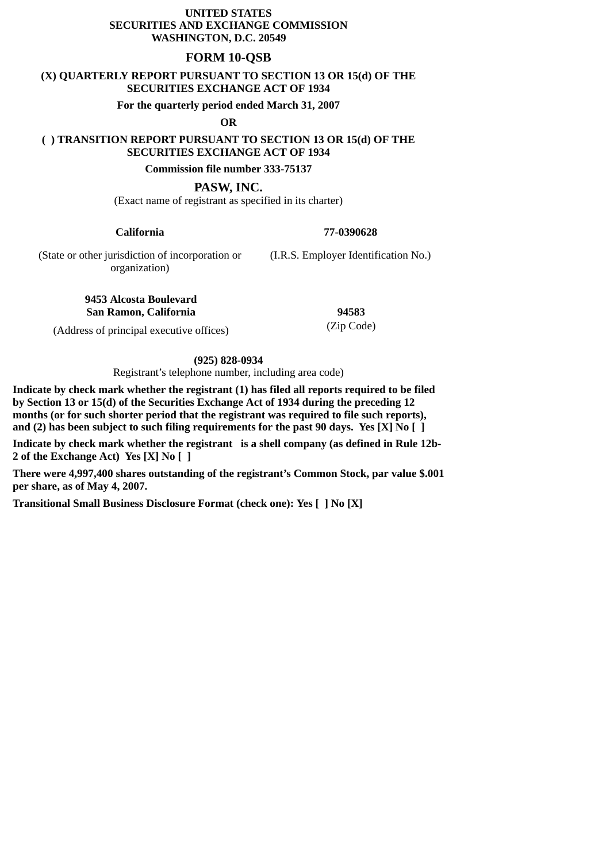## **UNITED STATES SECURITIES AND EXCHANGE COMMISSION WASHINGTON, D.C. 20549**

# **FORM 10-QSB**

#### **(X) QUARTERLY REPORT PURSUANT TO SECTION 13 OR 15(d) OF THE SECURITIES EXCHANGE ACT OF 1934**

#### **For the quarterly period ended March 31, 2007**

#### **OR**

# **( ) TRANSITION REPORT PURSUANT TO SECTION 13 OR 15(d) OF THE SECURITIES EXCHANGE ACT OF 1934**

#### **Commission file number 333-75137**

**PASW, INC.**

(Exact name of registrant as specified in its charter)

### **California 77-0390628**

(I.R.S. Employer Identification No.)

(State or other jurisdiction of incorporation or organization)

> **9453 Alcosta Boulevard San Ramon, California 94583**

(Address of principal executive offices) (Zip Code)

**(925) 828-0934**

Registrant's telephone number, including area code)

**Indicate by check mark whether the registrant (1) has filed all reports required to be filed by Section 13 or 15(d) of the Securities Exchange Act of 1934 during the preceding 12 months (or for such shorter period that the registrant was required to file such reports), and (2) has been subject to such filing requirements for the past 90 days. Yes [X] No [ ]**

**Indicate by check mark whether the registrant is a shell company (as defined in Rule 12b-2 of the Exchange Act) Yes [X] No [ ]** 

**There were 4,997,400 shares outstanding of the registrant's Common Stock, par value \$.001 per share, as of May 4, 2007.**

**Transitional Small Business Disclosure Format (check one): Yes [ ] No [X]**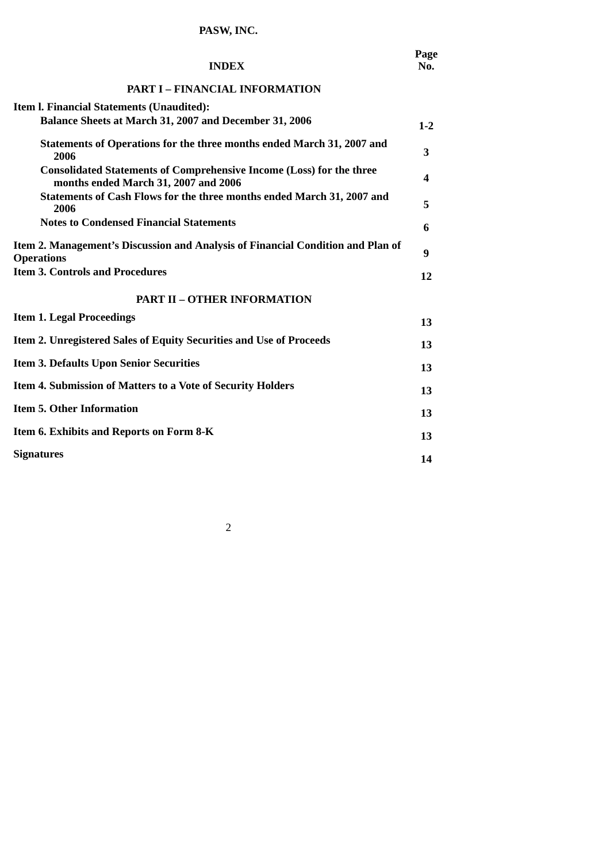# **PASW, INC.**

| <b>INDEX</b>                                                                                                        | Page<br>No. |
|---------------------------------------------------------------------------------------------------------------------|-------------|
| <b>PART I - FINANCIAL INFORMATION</b>                                                                               |             |
| Item I. Financial Statements (Unaudited):                                                                           |             |
| Balance Sheets at March 31, 2007 and December 31, 2006                                                              | $1-2$       |
| Statements of Operations for the three months ended March 31, 2007 and<br>2006                                      | 3           |
| <b>Consolidated Statements of Comprehensive Income (Loss) for the three</b><br>months ended March 31, 2007 and 2006 | 4           |
| Statements of Cash Flows for the three months ended March 31, 2007 and<br>2006                                      | 5           |
| <b>Notes to Condensed Financial Statements</b>                                                                      | 6           |
| Item 2. Management's Discussion and Analysis of Financial Condition and Plan of<br><b>Operations</b>                | 9           |
| <b>Item 3. Controls and Procedures</b>                                                                              | 12          |
| <b>PART II - OTHER INFORMATION</b>                                                                                  |             |
| <b>Item 1. Legal Proceedings</b>                                                                                    | 13          |
| Item 2. Unregistered Sales of Equity Securities and Use of Proceeds                                                 | 13          |
| <b>Item 3. Defaults Upon Senior Securities</b>                                                                      | 13          |
| <b>Item 4. Submission of Matters to a Vote of Security Holders</b>                                                  | 13          |
| <b>Item 5. Other Information</b>                                                                                    | 13          |
| Item 6. Exhibits and Reports on Form 8-K                                                                            | 13          |
| <b>Signatures</b>                                                                                                   | 14          |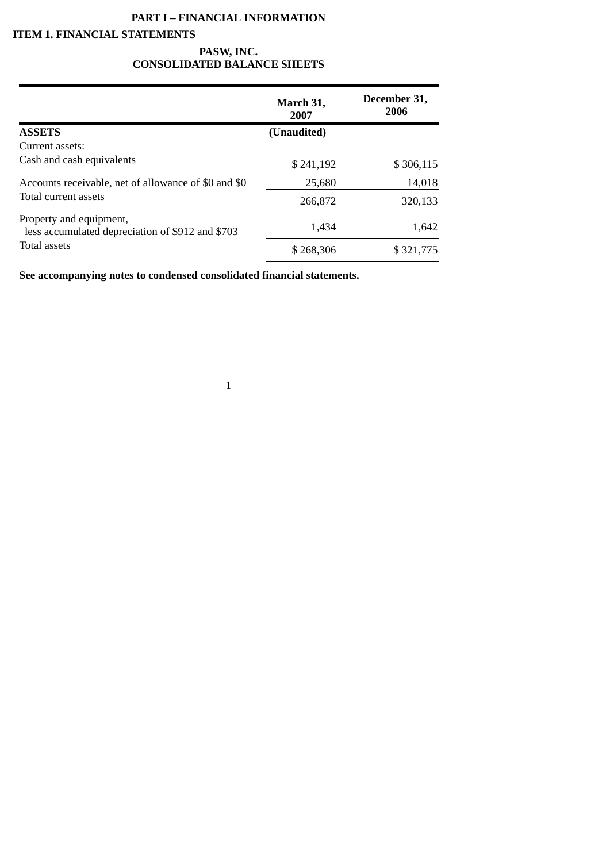# **PART I – FINANCIAL INFORMATION**

# **ITEM 1. FINANCIAL STATEMENTS**

# **PASW, INC. CONSOLIDATED BALANCE SHEETS**

|                                                                             | March 31,<br>2007 | December 31,<br>2006 |
|-----------------------------------------------------------------------------|-------------------|----------------------|
| <b>ASSETS</b>                                                               | (Unaudited)       |                      |
| Current assets:                                                             |                   |                      |
| Cash and cash equivalents                                                   | \$241,192         | \$306,115            |
| Accounts receivable, net of allowance of \$0 and \$0                        | 25,680            | 14,018               |
| Total current assets                                                        | 266,872           | 320,133              |
| Property and equipment,<br>less accumulated depreciation of \$912 and \$703 | 1,434             | 1,642                |
| Total assets                                                                | \$268,306         | \$321,775            |

1

**See accompanying notes to condensed consolidated financial statements.**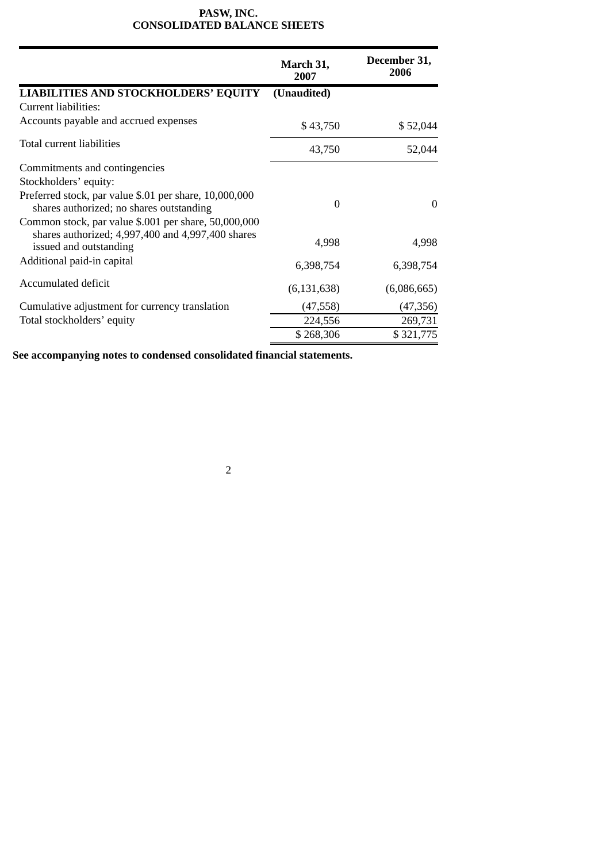# **PASW, INC. CONSOLIDATED BALANCE SHEETS**

|                                                                                                    | March 31,<br>2007 | December 31,<br>2006 |
|----------------------------------------------------------------------------------------------------|-------------------|----------------------|
| <b>LIABILITIES AND STOCKHOLDERS' EQUITY</b>                                                        | (Unaudited)       |                      |
| Current liabilities:                                                                               |                   |                      |
| Accounts payable and accrued expenses                                                              | \$43,750          | \$52,044             |
| Total current liabilities                                                                          | 43,750            | 52,044               |
| Commitments and contingencies                                                                      |                   |                      |
| Stockholders' equity:                                                                              |                   |                      |
| Preferred stock, par value \$.01 per share, 10,000,000<br>shares authorized; no shares outstanding | $\Omega$          | 0                    |
| Common stock, par value \$.001 per share, 50,000,000                                               |                   |                      |
| shares authorized; 4,997,400 and 4,997,400 shares<br>issued and outstanding                        | 4,998             | 4,998                |
| Additional paid-in capital                                                                         | 6,398,754         | 6,398,754            |
| Accumulated deficit                                                                                | (6, 131, 638)     | (6,086,665)          |
| Cumulative adjustment for currency translation                                                     | (47, 558)         | (47, 356)            |
| Total stockholders' equity                                                                         | 224,556           | 269,731              |
|                                                                                                    | \$268,306         | \$321,775            |

**See accompanying notes to condensed consolidated financial statements.**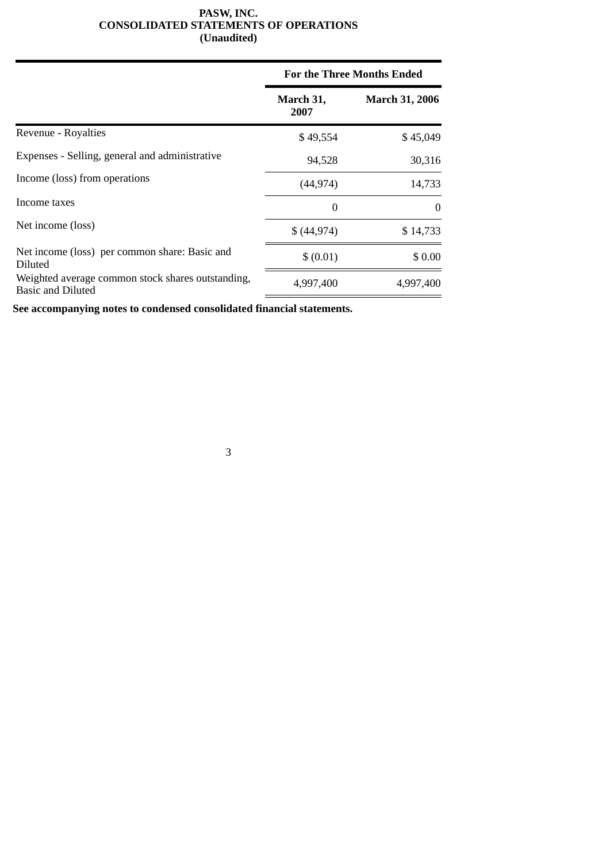## **PASW, INC. CONSOLIDATED STATEMENTS OF OPERATIONS (Unaudited)**

|                                                                               | For the Three Months Ended |                       |
|-------------------------------------------------------------------------------|----------------------------|-----------------------|
|                                                                               | March 31,<br>2007          | <b>March 31, 2006</b> |
| Revenue - Royalties                                                           | \$49,554                   | \$45,049              |
| Expenses - Selling, general and administrative                                | 94,528                     | 30,316                |
| Income (loss) from operations                                                 | (44, 974)                  | 14,733                |
| Income taxes                                                                  | $\theta$                   | $\Omega$              |
| Net income (loss)                                                             | \$ (44, 974)               | \$14,733              |
| Net income (loss) per common share: Basic and<br>Diluted                      | \$ (0.01)                  | \$0.00                |
| Weighted average common stock shares outstanding,<br><b>Basic and Diluted</b> | 4,997,400                  | 4,997,400             |

**See accompanying notes to condensed consolidated financial statements.**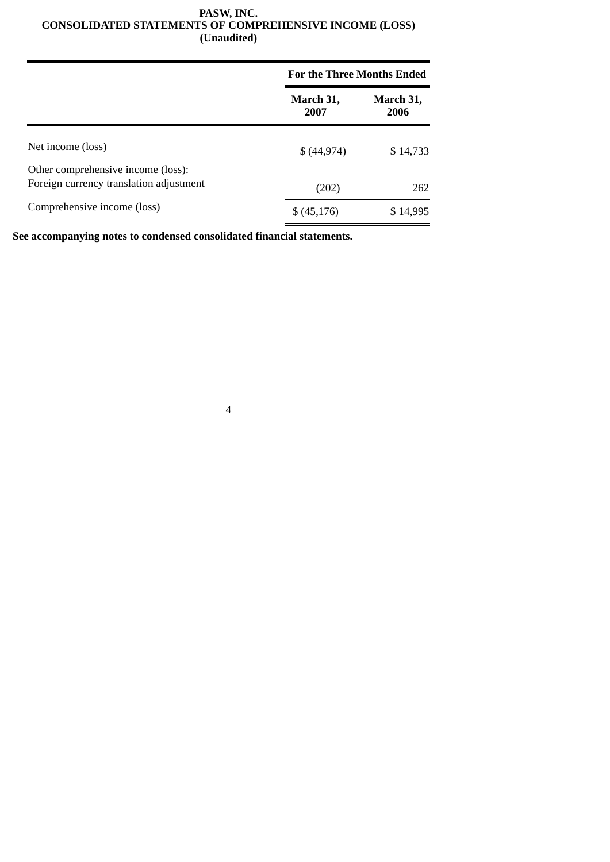## **PASW, INC. CONSOLIDATED STATEMENTS OF COMPREHENSIVE INCOME (LOSS) (Unaudited)**

|                                                                               | For the Three Months Ended |                   |
|-------------------------------------------------------------------------------|----------------------------|-------------------|
|                                                                               | March 31,<br>2007          | March 31,<br>2006 |
| Net income (loss)                                                             | \$ (44, 974)               | \$14,733          |
| Other comprehensive income (loss):<br>Foreign currency translation adjustment | (202)                      | 262               |
| Comprehensive income (loss)                                                   | \$ (45,176)                | \$14,995          |

4

**See accompanying notes to condensed consolidated financial statements.**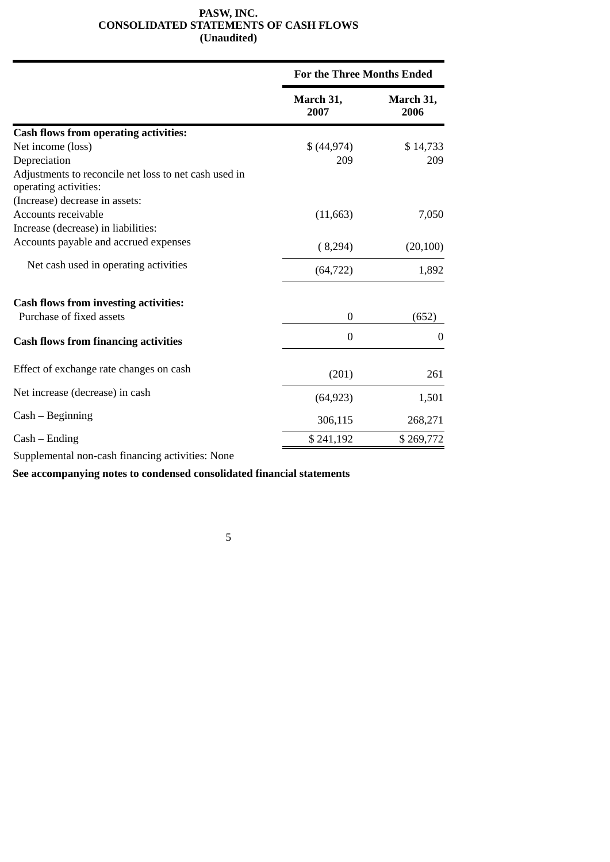# **PASW, INC. CONSOLIDATED STATEMENTS OF CASH FLOWS (Unaudited)**

|                                                                                | <b>For the Three Months Ended</b> |                   |
|--------------------------------------------------------------------------------|-----------------------------------|-------------------|
|                                                                                | March 31,<br>2007                 | March 31,<br>2006 |
| <b>Cash flows from operating activities:</b>                                   |                                   |                   |
| Net income (loss)                                                              | \$ (44,974)                       | \$14,733          |
| Depreciation                                                                   | 209                               | 209               |
| Adjustments to reconcile net loss to net cash used in<br>operating activities: |                                   |                   |
| (Increase) decrease in assets:                                                 |                                   |                   |
| Accounts receivable                                                            | (11, 663)                         | 7,050             |
| Increase (decrease) in liabilities:                                            |                                   |                   |
| Accounts payable and accrued expenses                                          | (8,294)                           | (20, 100)         |
| Net cash used in operating activities                                          | (64, 722)                         | 1,892             |
| <b>Cash flows from investing activities:</b>                                   |                                   |                   |
| Purchase of fixed assets                                                       | 0                                 | (652)             |
| <b>Cash flows from financing activities</b>                                    | $\theta$                          | $\theta$          |
| Effect of exchange rate changes on cash                                        | (201)                             | 261               |
| Net increase (decrease) in cash                                                | (64, 923)                         | 1,501             |
| $Cash - Beginning$                                                             | 306,115                           | 268,271           |
| $Cash - Ending$                                                                | \$241,192                         | \$269,772         |
|                                                                                |                                   |                   |

Supplemental non-cash financing activities: None

**See accompanying notes to condensed consolidated financial statements**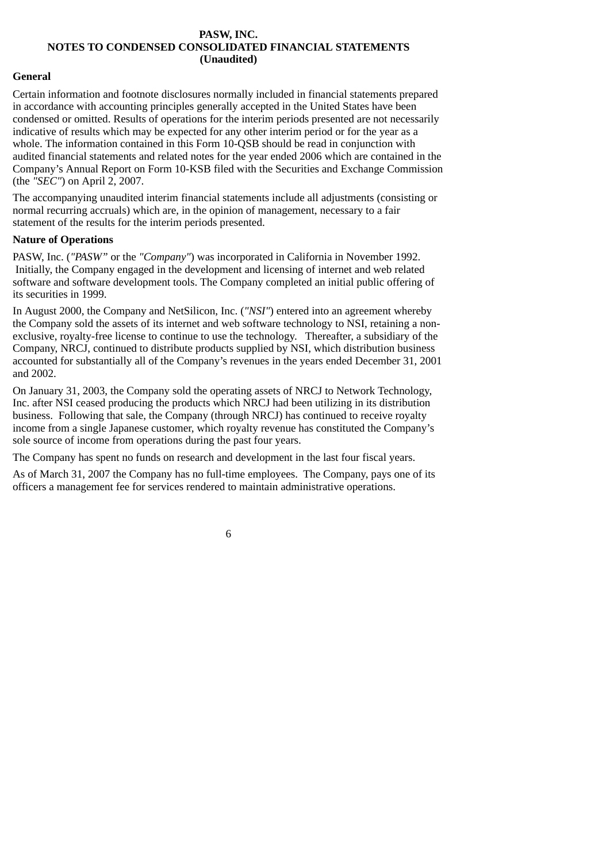## **PASW, INC. NOTES TO CONDENSED CONSOLIDATED FINANCIAL STATEMENTS (Unaudited)**

## **General**

Certain information and footnote disclosures normally included in financial statements prepared in accordance with accounting principles generally accepted in the United States have been condensed or omitted. Results of operations for the interim periods presented are not necessarily indicative of results which may be expected for any other interim period or for the year as a whole. The information contained in this Form 10-QSB should be read in conjunction with audited financial statements and related notes for the year ended 2006 which are contained in the Company's Annual Report on Form 10-KSB filed with the Securities and Exchange Commission (the *"SEC"*) on April 2, 2007.

The accompanying unaudited interim financial statements include all adjustments (consisting or normal recurring accruals) which are, in the opinion of management, necessary to a fair statement of the results for the interim periods presented.

## **Nature of Operations**

PASW, Inc. (*"PASW"* or the *"Company"*) was incorporated in California in November 1992. Initially, the Company engaged in the development and licensing of internet and web related software and software development tools. The Company completed an initial public offering of its securities in 1999.

In August 2000, the Company and NetSilicon, Inc. (*"NSI"*) entered into an agreement whereby the Company sold the assets of its internet and web software technology to NSI, retaining a nonexclusive, royalty-free license to continue to use the technology. Thereafter, a subsidiary of the Company, NRCJ, continued to distribute products supplied by NSI, which distribution business accounted for substantially all of the Company's revenues in the years ended December 31, 2001 and 2002.

On January 31, 2003, the Company sold the operating assets of NRCJ to Network Technology, Inc. after NSI ceased producing the products which NRCJ had been utilizing in its distribution business. Following that sale, the Company (through NRCJ) has continued to receive royalty income from a single Japanese customer, which royalty revenue has constituted the Company's sole source of income from operations during the past four years.

The Company has spent no funds on research and development in the last four fiscal years.

As of March 31, 2007 the Company has no full-time employees. The Company, pays one of its officers a management fee for services rendered to maintain administrative operations.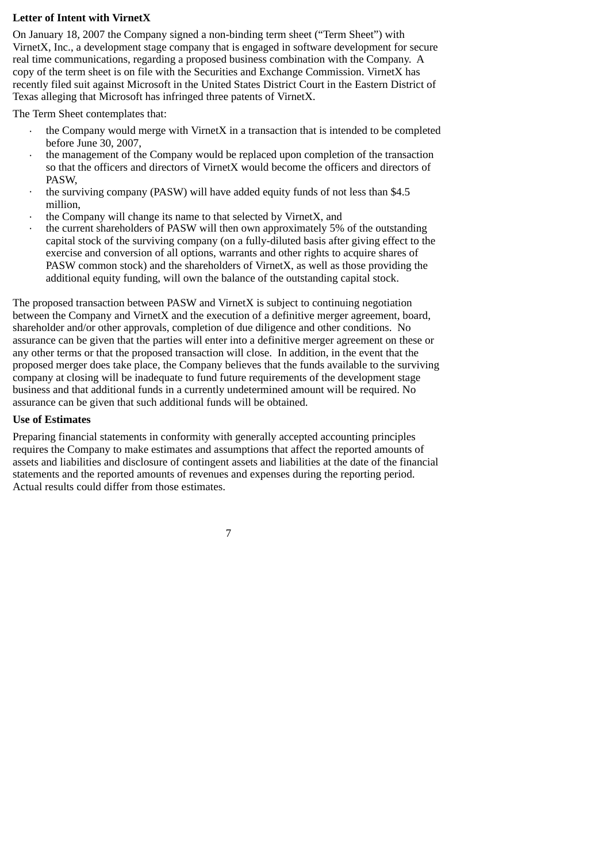# **Letter of Intent with VirnetX**

On January 18, 2007 the Company signed a non-binding term sheet ("Term Sheet") with VirnetX, Inc., a development stage company that is engaged in software development for secure real time communications, regarding a proposed business combination with the Company. A copy of the term sheet is on file with the Securities and Exchange Commission. VirnetX has recently filed suit against Microsoft in the United States District Court in the Eastern District of Texas alleging that Microsoft has infringed three patents of VirnetX.

The Term Sheet contemplates that:

- · the Company would merge with VirnetX in a transaction that is intended to be completed before June 30, 2007,
- the management of the Company would be replaced upon completion of the transaction so that the officers and directors of VirnetX would become the officers and directors of PASW,
- · the surviving company (PASW) will have added equity funds of not less than \$4.5 million,
- the Company will change its name to that selected by VirnetX, and
- the current shareholders of PASW will then own approximately 5% of the outstanding capital stock of the surviving company (on a fully-diluted basis after giving effect to the exercise and conversion of all options, warrants and other rights to acquire shares of PASW common stock) and the shareholders of VirnetX, as well as those providing the additional equity funding, will own the balance of the outstanding capital stock.

The proposed transaction between PASW and VirnetX is subject to continuing negotiation between the Company and VirnetX and the execution of a definitive merger agreement, board, shareholder and/or other approvals, completion of due diligence and other conditions. No assurance can be given that the parties will enter into a definitive merger agreement on these or any other terms or that the proposed transaction will close. In addition, in the event that the proposed merger does take place, the Company believes that the funds available to the surviving company at closing will be inadequate to fund future requirements of the development stage business and that additional funds in a currently undetermined amount will be required. No assurance can be given that such additional funds will be obtained.

## **Use of Estimates**

Preparing financial statements in conformity with generally accepted accounting principles requires the Company to make estimates and assumptions that affect the reported amounts of assets and liabilities and disclosure of contingent assets and liabilities at the date of the financial statements and the reported amounts of revenues and expenses during the reporting period. Actual results could differ from those estimates.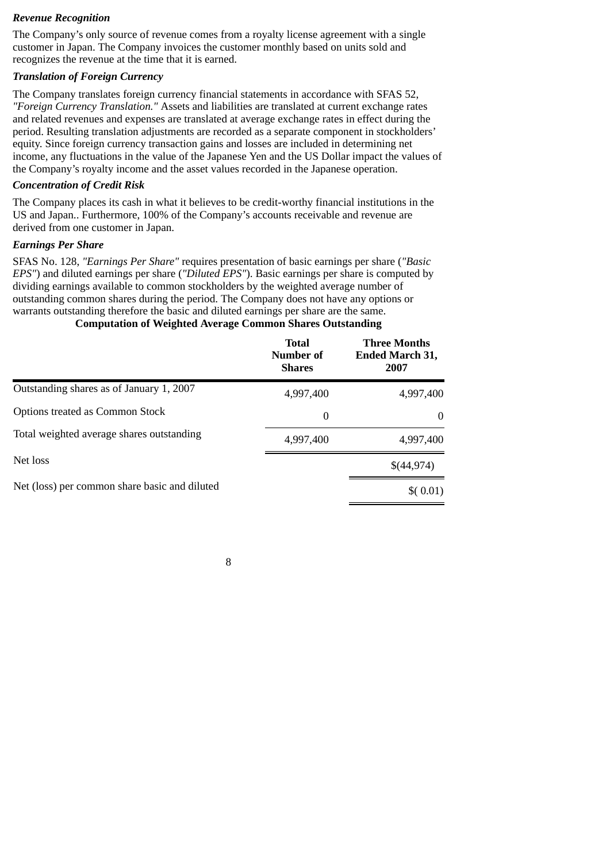#### *Revenue Recognition*

The Company's only source of revenue comes from a royalty license agreement with a single customer in Japan. The Company invoices the customer monthly based on units sold and recognizes the revenue at the time that it is earned.

# *Translation of Foreign Currency*

The Company translates foreign currency financial statements in accordance with SFAS 52, *"Foreign Currency Translation."* Assets and liabilities are translated at current exchange rates and related revenues and expenses are translated at average exchange rates in effect during the period. Resulting translation adjustments are recorded as a separate component in stockholders' equity. Since foreign currency transaction gains and losses are included in determining net income, any fluctuations in the value of the Japanese Yen and the US Dollar impact the values of the Company's royalty income and the asset values recorded in the Japanese operation.

# *Concentration of Credit Risk*

The Company places its cash in what it believes to be credit-worthy financial institutions in the US and Japan.. Furthermore, 100% of the Company's accounts receivable and revenue are derived from one customer in Japan.

# *Earnings Per Share*

SFAS No. 128, *"Earnings Per Share"* requires presentation of basic earnings per share (*"Basic EPS"*) and diluted earnings per share (*"Diluted EPS"*). Basic earnings per share is computed by dividing earnings available to common stockholders by the weighted average number of outstanding common shares during the period. The Company does not have any options or warrants outstanding therefore the basic and diluted earnings per share are the same. **Computation of Weighted Average Common Shares Outstanding**

|                                               | <b>Total</b><br>Number of<br><b>Shares</b> | <b>Three Months</b><br><b>Ended March 31,</b><br>2007 |
|-----------------------------------------------|--------------------------------------------|-------------------------------------------------------|
| Outstanding shares as of January 1, 2007      | 4.997.400                                  | 4,997,400                                             |
| Options treated as Common Stock               | 0                                          | $\theta$                                              |
| Total weighted average shares outstanding     | 4,997,400                                  | 4,997,400                                             |
| Net loss                                      |                                            | \$(44,974)                                            |
| Net (loss) per common share basic and diluted |                                            | \$(0.01)                                              |
|                                               |                                            |                                                       |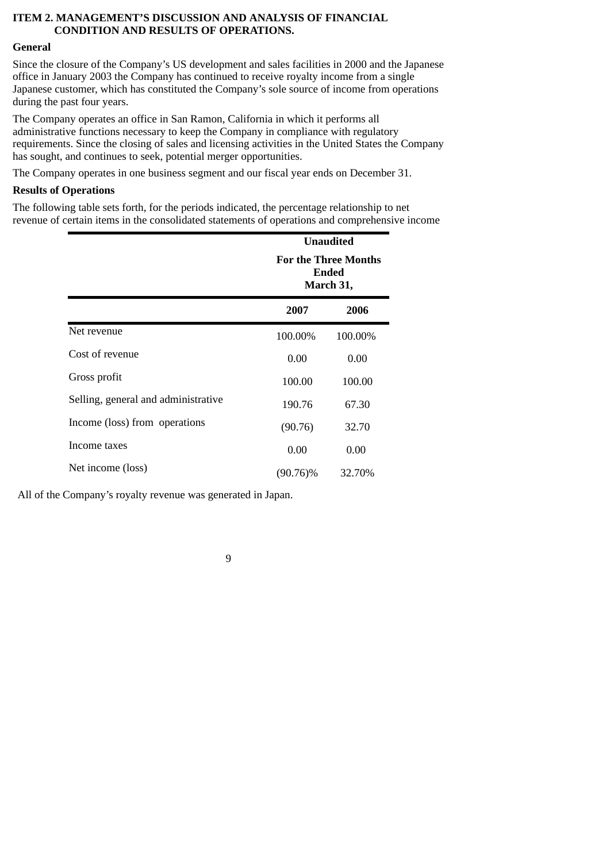## **ITEM 2. MANAGEMENT'S DISCUSSION AND ANALYSIS OF FINANCIAL CONDITION AND RESULTS OF OPERATIONS.**

#### **General**

Since the closure of the Company's US development and sales facilities in 2000 and the Japanese office in January 2003 the Company has continued to receive royalty income from a single Japanese customer, which has constituted the Company's sole source of income from operations during the past four years.

The Company operates an office in San Ramon, California in which it performs all administrative functions necessary to keep the Company in compliance with regulatory requirements. Since the closing of sales and licensing activities in the United States the Company has sought, and continues to seek, potential merger opportunities.

The Company operates in one business segment and our fiscal year ends on December 31.

# **Results of Operations**

The following table sets forth, for the periods indicated, the percentage relationship to net revenue of certain items in the consolidated statements of operations and comprehensive income

|                                     | <b>Unaudited</b> |                                                   |  |
|-------------------------------------|------------------|---------------------------------------------------|--|
|                                     |                  | <b>For the Three Months</b><br>Ended<br>March 31, |  |
|                                     | 2007             | 2006                                              |  |
| Net revenue                         | 100.00%          | 100.00%                                           |  |
| Cost of revenue                     | 0.00             | 0.00                                              |  |
| Gross profit                        | 100.00           | 100.00                                            |  |
| Selling, general and administrative | 190.76           | 67.30                                             |  |
| Income (loss) from operations       | (90.76)          | 32.70                                             |  |
| Income taxes                        | 0.00             | 0.00                                              |  |
| Net income (loss)                   | $(90.76)\%$      | 32.70%                                            |  |

All of the Company's royalty revenue was generated in Japan.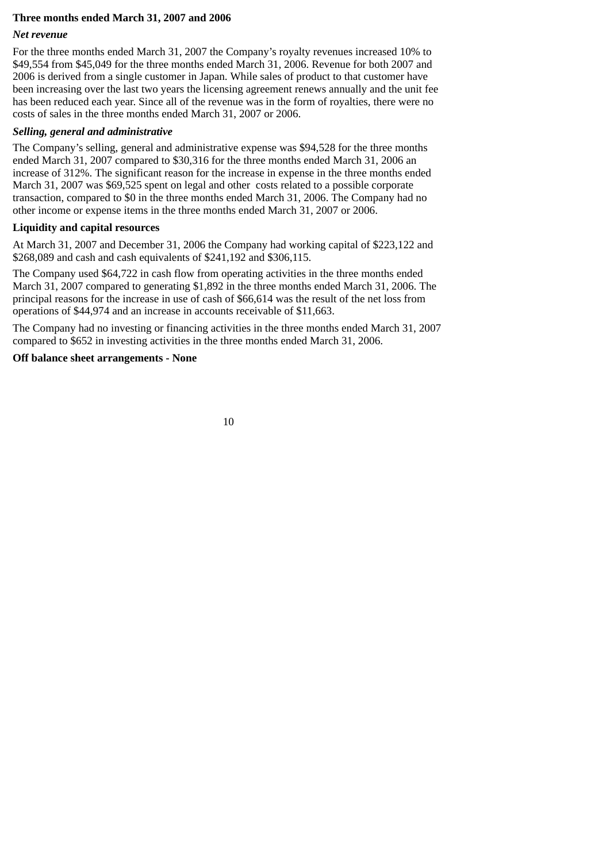# **Three months ended March 31, 2007 and 2006**

### *Net revenue*

For the three months ended March 31, 2007 the Company's royalty revenues increased 10% to \$49,554 from \$45,049 for the three months ended March 31, 2006. Revenue for both 2007 and 2006 is derived from a single customer in Japan. While sales of product to that customer have been increasing over the last two years the licensing agreement renews annually and the unit fee has been reduced each year. Since all of the revenue was in the form of royalties, there were no costs of sales in the three months ended March 31, 2007 or 2006.

## *Selling, general and administrative*

The Company's selling, general and administrative expense was \$94,528 for the three months ended March 31, 2007 compared to \$30,316 for the three months ended March 31, 2006 an increase of 312%. The significant reason for the increase in expense in the three months ended March 31, 2007 was \$69,525 spent on legal and other costs related to a possible corporate transaction, compared to \$0 in the three months ended March 31, 2006. The Company had no other income or expense items in the three months ended March 31, 2007 or 2006.

## **Liquidity and capital resources**

At March 31, 2007 and December 31, 2006 the Company had working capital of \$223,122 and \$268,089 and cash and cash equivalents of \$241,192 and \$306,115.

The Company used \$64,722 in cash flow from operating activities in the three months ended March 31, 2007 compared to generating \$1,892 in the three months ended March 31, 2006. The principal reasons for the increase in use of cash of \$66,614 was the result of the net loss from operations of \$44,974 and an increase in accounts receivable of \$11,663.

The Company had no investing or financing activities in the three months ended March 31, 2007 compared to \$652 in investing activities in the three months ended March 31, 2006.

## **Off balance sheet arrangements - None**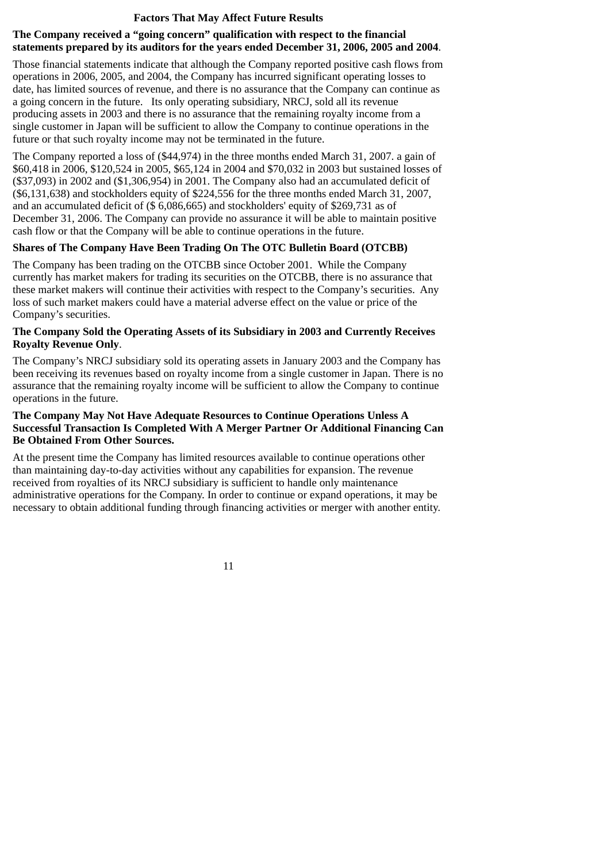### **Factors That May Affect Future Results**

### **The Company received a "going concern" qualification with respect to the financial statements prepared by its auditors for the years ended December 31, 2006, 2005 and 2004**.

Those financial statements indicate that although the Company reported positive cash flows from operations in 2006, 2005, and 2004, the Company has incurred significant operating losses to date, has limited sources of revenue, and there is no assurance that the Company can continue as a going concern in the future. Its only operating subsidiary, NRCJ, sold all its revenue producing assets in 2003 and there is no assurance that the remaining royalty income from a single customer in Japan will be sufficient to allow the Company to continue operations in the future or that such royalty income may not be terminated in the future.

The Company reported a loss of (\$44,974) in the three months ended March 31, 2007. a gain of \$60,418 in 2006, \$120,524 in 2005, \$65,124 in 2004 and \$70,032 in 2003 but sustained losses of (\$37,093) in 2002 and (\$1,306,954) in 2001. The Company also had an accumulated deficit of (\$6,131,638) and stockholders equity of \$224,556 for the three months ended March 31, 2007, and an accumulated deficit of (\$ 6,086,665) and stockholders' equity of \$269,731 as of December 31, 2006. The Company can provide no assurance it will be able to maintain positive cash flow or that the Company will be able to continue operations in the future.

# **Shares of The Company Have Been Trading On The OTC Bulletin Board (OTCBB)**

The Company has been trading on the OTCBB since October 2001. While the Company currently has market makers for trading its securities on the OTCBB, there is no assurance that these market makers will continue their activities with respect to the Company's securities. Any loss of such market makers could have a material adverse effect on the value or price of the Company's securities.

# **The Company Sold the Operating Assets of its Subsidiary in 2003 and Currently Receives Royalty Revenue Only**.

The Company's NRCJ subsidiary sold its operating assets in January 2003 and the Company has been receiving its revenues based on royalty income from a single customer in Japan. There is no assurance that the remaining royalty income will be sufficient to allow the Company to continue operations in the future.

## **The Company May Not Have Adequate Resources to Continue Operations Unless A Successful Transaction Is Completed With A Merger Partner Or Additional Financing Can Be Obtained From Other Sources.**

At the present time the Company has limited resources available to continue operations other than maintaining day-to-day activities without any capabilities for expansion. The revenue received from royalties of its NRCJ subsidiary is sufficient to handle only maintenance administrative operations for the Company. In order to continue or expand operations, it may be necessary to obtain additional funding through financing activities or merger with another entity.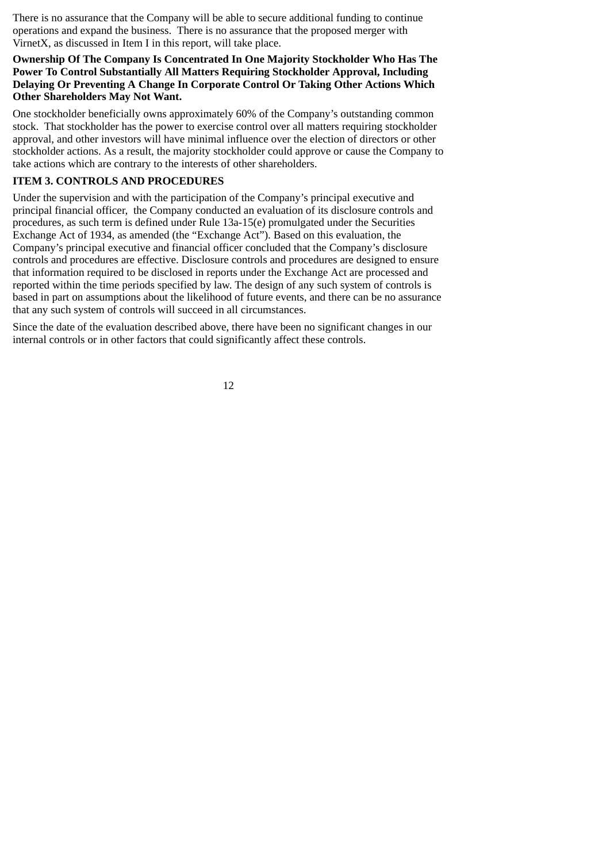There is no assurance that the Company will be able to secure additional funding to continue operations and expand the business. There is no assurance that the proposed merger with VirnetX, as discussed in Item I in this report, will take place.

## **Ownership Of The Company Is Concentrated In One Majority Stockholder Who Has The Power To Control Substantially All Matters Requiring Stockholder Approval, Including Delaying Or Preventing A Change In Corporate Control Or Taking Other Actions Which Other Shareholders May Not Want.**

One stockholder beneficially owns approximately 60% of the Company's outstanding common stock. That stockholder has the power to exercise control over all matters requiring stockholder approval, and other investors will have minimal influence over the election of directors or other stockholder actions. As a result, the majority stockholder could approve or cause the Company to take actions which are contrary to the interests of other shareholders.

# **ITEM 3. CONTROLS AND PROCEDURES**

Under the supervision and with the participation of the Company's principal executive and principal financial officer, the Company conducted an evaluation of its disclosure controls and procedures, as such term is defined under Rule 13a-15(e) promulgated under the Securities Exchange Act of 1934, as amended (the "Exchange Act"). Based on this evaluation, the Company's principal executive and financial officer concluded that the Company's disclosure controls and procedures are effective. Disclosure controls and procedures are designed to ensure that information required to be disclosed in reports under the Exchange Act are processed and reported within the time periods specified by law. The design of any such system of controls is based in part on assumptions about the likelihood of future events, and there can be no assurance that any such system of controls will succeed in all circumstances.

Since the date of the evaluation described above, there have been no significant changes in our internal controls or in other factors that could significantly affect these controls.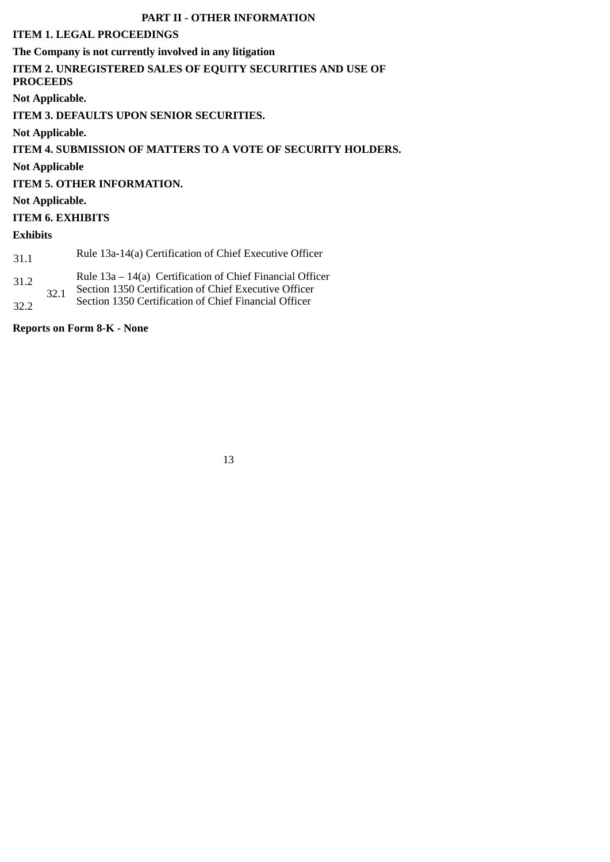# **PART II - OTHER INFORMATION**

# **ITEM 1. LEGAL PROCEEDINGS**

**The Company is not currently involved in any litigation**

# **ITEM 2. UNREGISTERED SALES OF EQUITY SECURITIES AND USE OF**

**PROCEEDS**

**Not Applicable.**

# **ITEM 3. DEFAULTS UPON SENIOR SECURITIES.**

**Not Applicable.**

# **ITEM 4. SUBMISSION OF MATTERS TO A VOTE OF SECURITY HOLDERS.**

# **Not Applicable**

**ITEM 5. OTHER INFORMATION.**

# **Not Applicable.**

# **ITEM 6. EXHIBITS**

# **Exhibits**

| 31.1 |      | Rule 13a-14(a) Certification of Chief Executive Officer                                                        |
|------|------|----------------------------------------------------------------------------------------------------------------|
| 31.2 | 32.1 | Rule $13a - 14(a)$ Certification of Chief Financial Officer                                                    |
| 32.2 |      | Section 1350 Certification of Chief Executive Officer<br>Section 1350 Certification of Chief Financial Officer |

# **Reports on Form 8-K - None**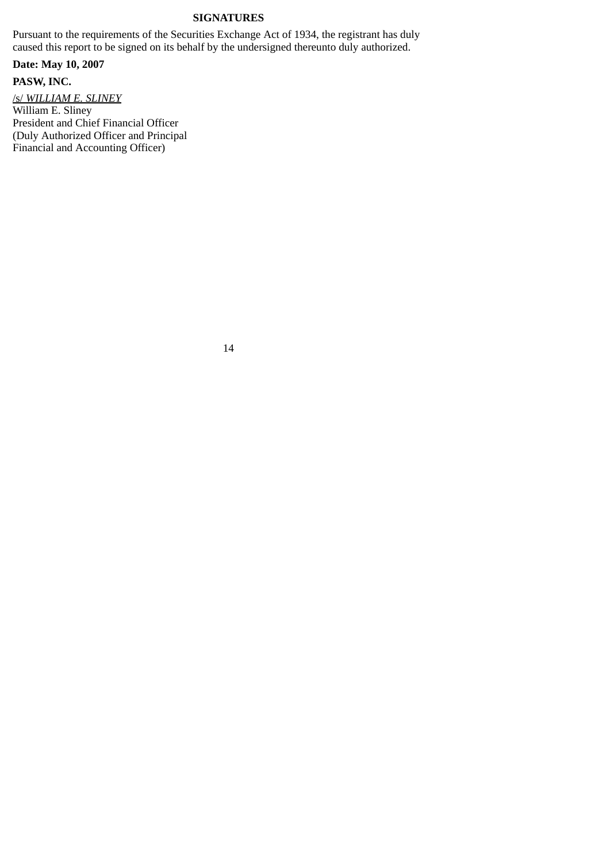### **SIGNATURES**

Pursuant to the requirements of the Securities Exchange Act of 1934, the registrant has duly caused this report to be signed on its behalf by the undersigned thereunto duly authorized.

**Date: May 10, 2007**

## **PASW, INC.**

/s/ *WILLIAM E. SLINEY* William E. Sliney President and Chief Financial Officer (Duly Authorized Officer and Principal Financial and Accounting Officer)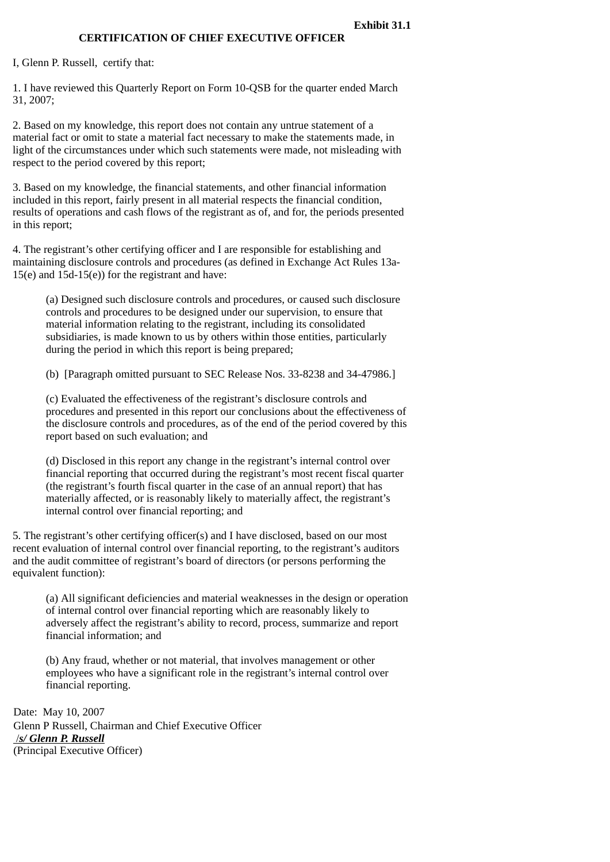I, Glenn P. Russell, certify that:

1. I have reviewed this Quarterly Report on Form 10-QSB for the quarter ended March 31, 2007;

2. Based on my knowledge, this report does not contain any untrue statement of a material fact or omit to state a material fact necessary to make the statements made, in light of the circumstances under which such statements were made, not misleading with respect to the period covered by this report;

3. Based on my knowledge, the financial statements, and other financial information included in this report, fairly present in all material respects the financial condition, results of operations and cash flows of the registrant as of, and for, the periods presented in this report;

4. The registrant's other certifying officer and I are responsible for establishing and maintaining disclosure controls and procedures (as defined in Exchange Act Rules 13a-15(e) and  $15d-15(e)$ ) for the registrant and have:

(a) Designed such disclosure controls and procedures, or caused such disclosure controls and procedures to be designed under our supervision, to ensure that material information relating to the registrant, including its consolidated subsidiaries, is made known to us by others within those entities, particularly during the period in which this report is being prepared;

(b) [Paragraph omitted pursuant to SEC Release Nos. 33-8238 and 34-47986.]

(c) Evaluated the effectiveness of the registrant's disclosure controls and procedures and presented in this report our conclusions about the effectiveness of the disclosure controls and procedures, as of the end of the period covered by this report based on such evaluation; and

(d) Disclosed in this report any change in the registrant's internal control over financial reporting that occurred during the registrant's most recent fiscal quarter (the registrant's fourth fiscal quarter in the case of an annual report) that has materially affected, or is reasonably likely to materially affect, the registrant's internal control over financial reporting; and

5. The registrant's other certifying officer(s) and I have disclosed, based on our most recent evaluation of internal control over financial reporting, to the registrant's auditors and the audit committee of registrant's board of directors (or persons performing the equivalent function):

(a) All significant deficiencies and material weaknesses in the design or operation of internal control over financial reporting which are reasonably likely to adversely affect the registrant's ability to record, process, summarize and report financial information; and

(b) Any fraud, whether or not material, that involves management or other employees who have a significant role in the registrant's internal control over financial reporting.

Date: May 10, 2007 Glenn P Russell, Chairman and Chief Executive Officer /*s/ Glenn P. Russell* (Principal Executive Officer)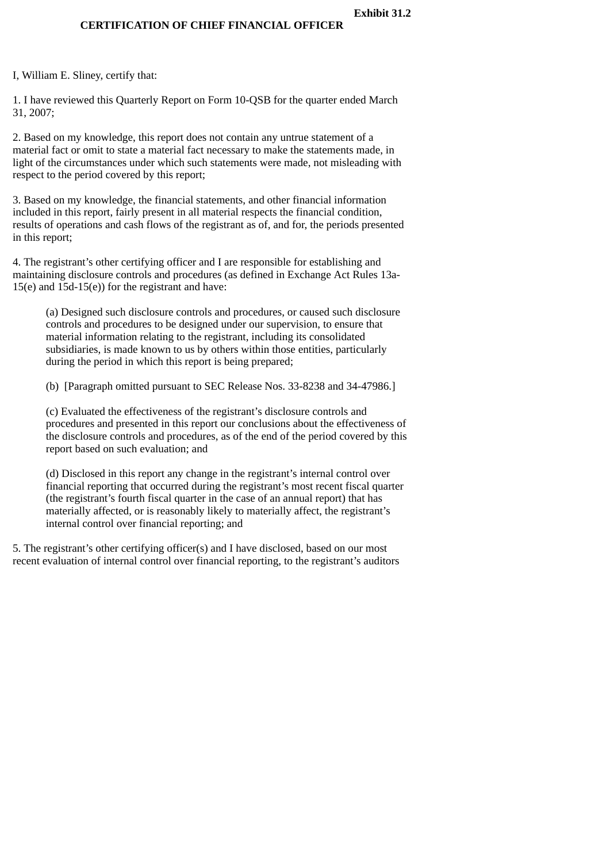I, William E. Sliney, certify that:

1. I have reviewed this Quarterly Report on Form 10-QSB for the quarter ended March 31, 2007;

2. Based on my knowledge, this report does not contain any untrue statement of a material fact or omit to state a material fact necessary to make the statements made, in light of the circumstances under which such statements were made, not misleading with respect to the period covered by this report;

3. Based on my knowledge, the financial statements, and other financial information included in this report, fairly present in all material respects the financial condition, results of operations and cash flows of the registrant as of, and for, the periods presented in this report;

4. The registrant's other certifying officer and I are responsible for establishing and maintaining disclosure controls and procedures (as defined in Exchange Act Rules 13a-15(e) and 15d-15(e)) for the registrant and have:

(a) Designed such disclosure controls and procedures, or caused such disclosure controls and procedures to be designed under our supervision, to ensure that material information relating to the registrant, including its consolidated subsidiaries, is made known to us by others within those entities, particularly during the period in which this report is being prepared;

(b) [Paragraph omitted pursuant to SEC Release Nos. 33-8238 and 34-47986.]

(c) Evaluated the effectiveness of the registrant's disclosure controls and procedures and presented in this report our conclusions about the effectiveness of the disclosure controls and procedures, as of the end of the period covered by this report based on such evaluation; and

(d) Disclosed in this report any change in the registrant's internal control over financial reporting that occurred during the registrant's most recent fiscal quarter (the registrant's fourth fiscal quarter in the case of an annual report) that has materially affected, or is reasonably likely to materially affect, the registrant's internal control over financial reporting; and

5. The registrant's other certifying officer(s) and I have disclosed, based on our most recent evaluation of internal control over financial reporting, to the registrant's auditors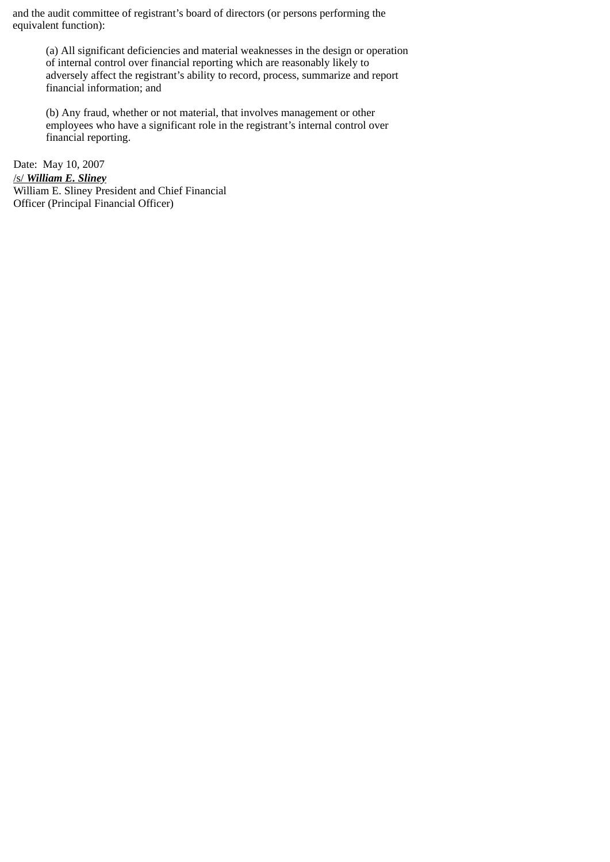and the audit committee of registrant's board of directors (or persons performing the equivalent function):

(a) All significant deficiencies and material weaknesses in the design or operation of internal control over financial reporting which are reasonably likely to adversely affect the registrant's ability to record, process, summarize and report financial information; and

(b) Any fraud, whether or not material, that involves management or other employees who have a significant role in the registrant's internal control over financial reporting.

Date: May 10, 2007 /s/ *William E. Sliney* William E. Sliney President and Chief Financial Officer (Principal Financial Officer)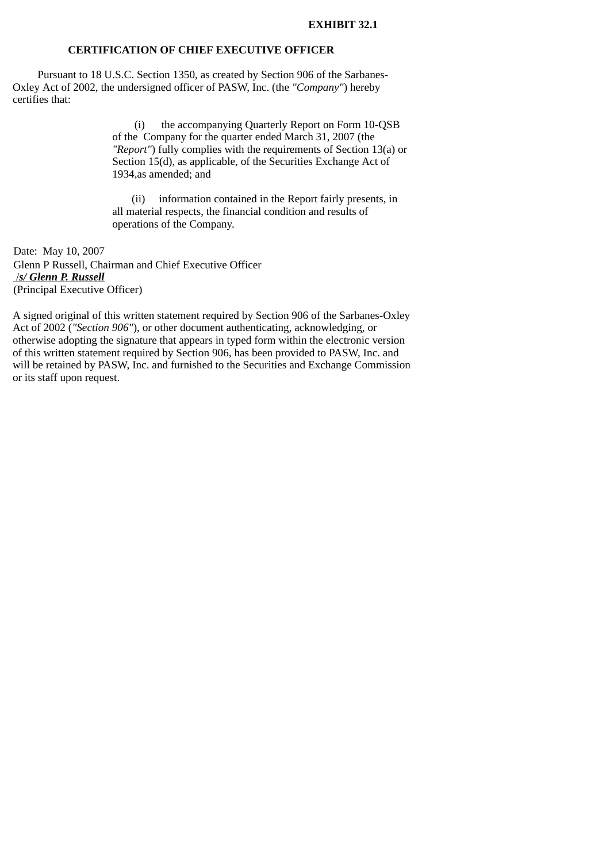#### **CERTIFICATION OF CHIEF EXECUTIVE OFFICER**

 Pursuant to 18 U.S.C. Section 1350, as created by Section 906 of the Sarbanes-Oxley Act of 2002, the undersigned officer of PASW, Inc. (the *"Company"*) hereby certifies that:

> (i) the accompanying Quarterly Report on Form 10-QSB of the Company for the quarter ended March 31, 2007 (the *"Report"*) fully complies with the requirements of Section 13(a) or Section 15(d), as applicable, of the Securities Exchange Act of 1934,as amended; and

 (ii) information contained in the Report fairly presents, in all material respects, the financial condition and results of operations of the Company.

Date: May 10, 2007 Glenn P Russell, Chairman and Chief Executive Officer /*s/ Glenn P. Russell* (Principal Executive Officer)

A signed original of this written statement required by Section 906 of the Sarbanes-Oxley Act of 2002 (*"Section 906"*), or other document authenticating, acknowledging, or otherwise adopting the signature that appears in typed form within the electronic version of this written statement required by Section 906, has been provided to PASW, Inc. and will be retained by PASW, Inc. and furnished to the Securities and Exchange Commission or its staff upon request.